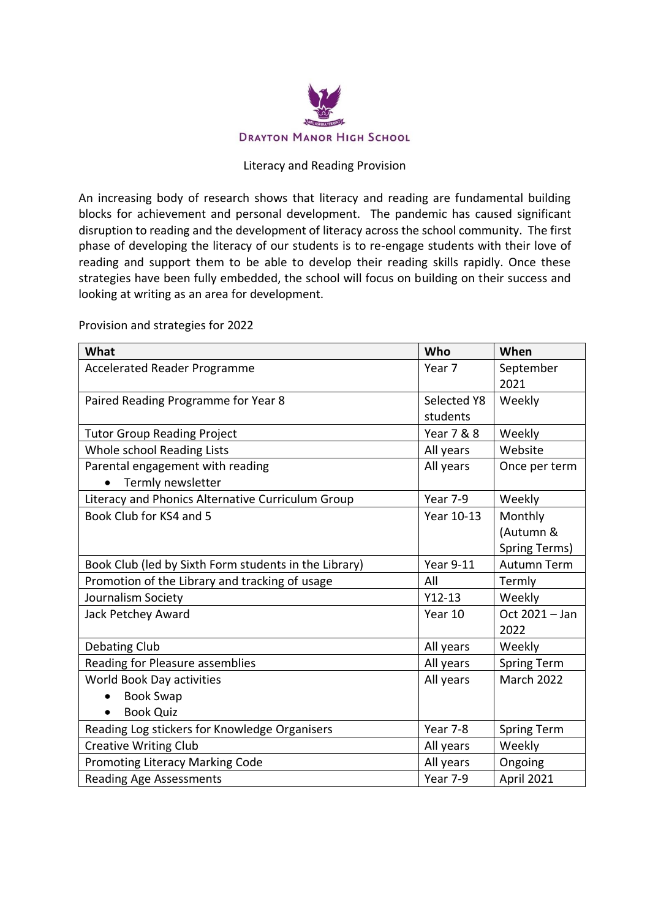

## Literacy and Reading Provision

An increasing body of research shows that literacy and reading are fundamental building blocks for achievement and personal development. The pandemic has caused significant disruption to reading and the development of literacy across the school community. The first phase of developing the literacy of our students is to re-engage students with their love of reading and support them to be able to develop their reading skills rapidly. Once these strategies have been fully embedded, the school will focus on building on their success and looking at writing as an area for development.

| What                                                  | Who              | When                   |
|-------------------------------------------------------|------------------|------------------------|
| <b>Accelerated Reader Programme</b>                   | Year 7           | September<br>2021      |
| Paired Reading Programme for Year 8                   | Selected Y8      | Weekly                 |
|                                                       | students         |                        |
| <b>Tutor Group Reading Project</b>                    | Year 7 & 8       | Weekly                 |
| Whole school Reading Lists                            | All years        | Website                |
| Parental engagement with reading                      | All years        | Once per term          |
| Termly newsletter                                     |                  |                        |
| Literacy and Phonics Alternative Curriculum Group     | Year 7-9         | Weekly                 |
| Book Club for KS4 and 5                               | Year 10-13       | Monthly                |
|                                                       |                  | (Autumn &              |
|                                                       |                  | Spring Terms)          |
| Book Club (led by Sixth Form students in the Library) | <b>Year 9-11</b> | <b>Autumn Term</b>     |
| Promotion of the Library and tracking of usage        | All              | Termly                 |
| Journalism Society                                    | $Y12-13$         | Weekly                 |
| Jack Petchey Award                                    | Year 10          | Oct 2021 - Jan<br>2022 |
| Debating Club                                         | All years        | Weekly                 |
| Reading for Pleasure assemblies                       | All years        | <b>Spring Term</b>     |
| World Book Day activities                             | All years        | <b>March 2022</b>      |
| <b>Book Swap</b>                                      |                  |                        |
| <b>Book Quiz</b>                                      |                  |                        |
| Reading Log stickers for Knowledge Organisers         | Year 7-8         | Spring Term            |
| <b>Creative Writing Club</b>                          | All years        | Weekly                 |
| Promoting Literacy Marking Code                       | All years        | Ongoing                |
| <b>Reading Age Assessments</b>                        | Year 7-9         | April 2021             |

Provision and strategies for 2022